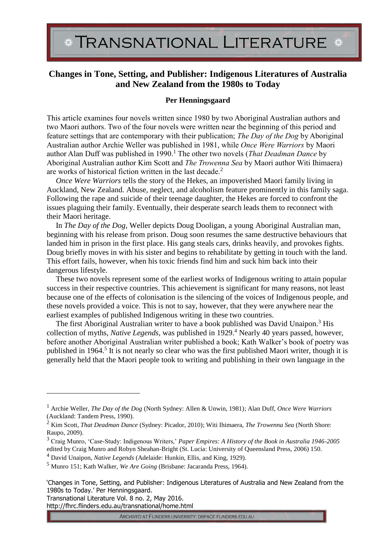TRANSNATIONAL LITERATURE \*

## **Changes in Tone, Setting, and Publisher: Indigenous Literatures of Australia and New Zealand from the 1980s to Today**

## **Per Henningsgaard**

This article examines four novels written since 1980 by two Aboriginal Australian authors and two Maori authors. Two of the four novels were written near the beginning of this period and feature settings that are contemporary with their publication; *The Day of the Dog* by Aboriginal Australian author Archie Weller was published in 1981, while *Once Were Warriors* by Maori author Alan Duff was published in 1990.<sup>1</sup> The other two novels (*That Deadman Dance* by Aboriginal Australian author Kim Scott and *The Trowenna Sea* by Maori author Witi Ihimaera) are works of historical fiction written in the last decade.<sup>2</sup>

*Once Were Warriors* tells the story of the Hekes, an impoverished Maori family living in Auckland, New Zealand. Abuse, neglect, and alcoholism feature prominently in this family saga. Following the rape and suicide of their teenage daughter, the Hekes are forced to confront the issues plaguing their family. Eventually, their desperate search leads them to reconnect with their Maori heritage.

In *The Day of the Dog*, Weller depicts Doug Dooligan, a young Aboriginal Australian man, beginning with his release from prison. Doug soon resumes the same destructive behaviours that landed him in prison in the first place. His gang steals cars, drinks heavily, and provokes fights. Doug briefly moves in with his sister and begins to rehabilitate by getting in touch with the land. This effort fails, however, when his toxic friends find him and suck him back into their dangerous lifestyle.

These two novels represent some of the earliest works of Indigenous writing to attain popular success in their respective countries. This achievement is significant for many reasons, not least because one of the effects of colonisation is the silencing of the voices of Indigenous people, and these novels provided a voice. This is not to say, however, that they were anywhere near the earliest examples of published Indigenous writing in these two countries.

The first Aboriginal Australian writer to have a book published was David Unaipon.<sup>3</sup> His collection of myths, *Native Legends*, was published in 1929.<sup>4</sup> Nearly 40 years passed, however, before another Aboriginal Australian writer published a book; Kath Walker's book of poetry was published in 1964.<sup>5</sup> It is not nearly so clear who was the first published Maori writer, though it is generally held that the Maori people took to writing and publishing in their own language in the

Transnational Literature Vol. 8 no. 2, May 2016.

<u>.</u>

http://fhrc.flinders.edu.au/transnational/home.html

<sup>1</sup> Archie Weller, *The Day of the Dog* (North Sydney: Allen & Unwin, 1981); Alan Duff, *Once Were Warriors* (Auckland: Tandem Press, 1990).

<sup>2</sup> Kim Scott, *That Deadman Dance* (Sydney: Picador, 2010); Witi Ihimaera, *The Trowenna Sea* (North Shore: Raupo, 2009).

<sup>3</sup> Craig Munro, 'Case-Study: Indigenous Writers,' *Paper Empires: A History of the Book in Australia 1946-2005* edited by Craig Munro and Robyn Sheahan-Bright (St. Lucia: University of Queensland Press, 2006) 150.

<sup>4</sup> David Unaipon, *Native Legends* (Adelaide: Hunkin, Ellis, and King, 1929).

<sup>5</sup> Munro 151; Kath Walker, *We Are Going* (Brisbane: Jacaranda Press, 1964).

<sup>&#</sup>x27;Changes in Tone, Setting, and Publisher: Indigenous Literatures of Australia and New Zealand from the 1980s to Today.' Per Henningsgaard.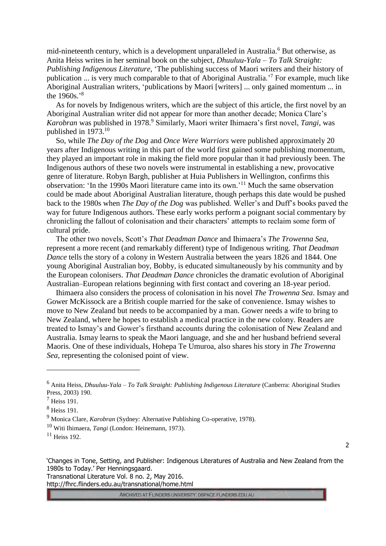mid-nineteenth century, which is a development unparalleled in Australia.<sup>6</sup> But otherwise, as Anita Heiss writes in her seminal book on the subject, *Dhuuluu-Yala – To Talk Straight: Publishing Indigenous Literature*, 'The publishing success of Maori writers and their history of publication ... is very much comparable to that of Aboriginal Australia.<sup>'7</sup> For example, much like Aboriginal Australian writers, 'publications by Maori [writers] ... only gained momentum ... in the 1960s.' 8

As for novels by Indigenous writers, which are the subject of this article, the first novel by an Aboriginal Australian writer did not appear for more than another decade; Monica Clare's *Karobran* was published in 1978.<sup>9</sup> Similarly, Maori writer Ihimaera's first novel, *Tangi*, was published in 1973.<sup>10</sup>

So, while *The Day of the Dog* and *Once Were Warriors* were published approximately 20 years after Indigenous writing in this part of the world first gained some publishing momentum, they played an important role in making the field more popular than it had previously been. The Indigenous authors of these two novels were instrumental in establishing a new, provocative genre of literature. Robyn Bargh, publisher at Huia Publishers in Wellington, confirms this observation: 'In the 1990s Maori literature came into its own.' <sup>11</sup> Much the same observation could be made about Aboriginal Australian literature, though perhaps this date would be pushed back to the 1980s when *The Day of the Dog* was published. Weller's and Duff's books paved the way for future Indigenous authors. These early works perform a poignant social commentary by chronicling the fallout of colonisation and their characters' attempts to reclaim some form of cultural pride.

The other two novels, Scott's *That Deadman Dance* and Ihimaera's *The Trowenna Sea*, represent a more recent (and remarkably different) type of Indigenous writing. *That Deadman Dance* tells the story of a colony in Western Australia between the years 1826 and 1844. One young Aboriginal Australian boy, Bobby, is educated simultaneously by his community and by the European colonisers. *That Deadman Dance* chronicles the dramatic evolution of Aboriginal Australian–European relations beginning with first contact and covering an 18-year period.

Ihimaera also considers the process of colonisation in his novel *The Trowenna Sea*. Ismay and Gower McKissock are a British couple married for the sake of convenience. Ismay wishes to move to New Zealand but needs to be accompanied by a man. Gower needs a wife to bring to New Zealand, where he hopes to establish a medical practice in the new colony. Readers are treated to Ismay's and Gower's firsthand accounts during the colonisation of New Zealand and Australia. Ismay learns to speak the Maori language, and she and her husband befriend several Maoris. One of these individuals, Hohepa Te Umuroa, also shares his story in *The Trowenna Sea*, representing the colonised point of view.

<u>.</u>

http://fhrc.flinders.edu.au/transnational/home.html

<sup>6</sup> Anita Heiss, *Dhuuluu-Yala – To Talk Straight: Publishing Indigenous Literature* (Canberra: Aboriginal Studies Press, 2003) 190.

 $<sup>7</sup>$  Heiss 191.</sup>

<sup>8</sup> Heiss 191.

<sup>9</sup> Monica Clare, *Karobran* (Sydney: Alternative Publishing Co-operative, 1978).

<sup>10</sup> Witi Ihimaera, *Tangi* (London: Heinemann, 1973).

<sup>11</sup> Heiss 192.

<sup>&#</sup>x27;Changes in Tone, Setting, and Publisher: Indigenous Literatures of Australia and New Zealand from the 1980s to Today.' Per Henningsgaard. Transnational Literature Vol. 8 no. 2, May 2016.

<sup>2</sup>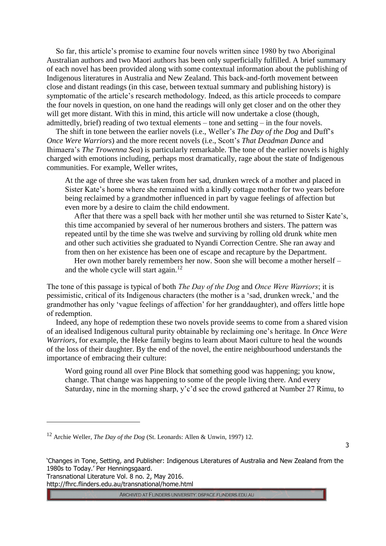So far, this article's promise to examine four novels written since 1980 by two Aboriginal Australian authors and two Maori authors has been only superficially fulfilled. A brief summary of each novel has been provided along with some contextual information about the publishing of Indigenous literatures in Australia and New Zealand. This back-and-forth movement between close and distant readings (in this case, between textual summary and publishing history) is symptomatic of the article's research methodology. Indeed, as this article proceeds to compare the four novels in question, on one hand the readings will only get closer and on the other they will get more distant. With this in mind, this article will now undertake a close (though, admittedly, brief) reading of two textual elements – tone and setting – in the four novels.

The shift in tone between the earlier novels (i.e., Weller's *The Day of the Dog* and Duff's *Once Were Warriors*) and the more recent novels (i.e., Scott's *That Deadman Dance* and Ihimaera's *The Trowenna Sea*) is particularly remarkable. The tone of the earlier novels is highly charged with emotions including, perhaps most dramatically, rage about the state of Indigenous communities. For example, Weller writes,

At the age of three she was taken from her sad, drunken wreck of a mother and placed in Sister Kate's home where she remained with a kindly cottage mother for two years before being reclaimed by a grandmother influenced in part by vague feelings of affection but even more by a desire to claim the child endowment.

After that there was a spell back with her mother until she was returned to Sister Kate's, this time accompanied by several of her numerous brothers and sisters. The pattern was repeated until by the time she was twelve and surviving by rolling old drunk white men and other such activities she graduated to Nyandi Correction Centre. She ran away and from then on her existence has been one of escape and recapture by the Department.

Her own mother barely remembers her now. Soon she will become a mother herself – and the whole cycle will start again. $12$ 

The tone of this passage is typical of both *The Day of the Dog* and *Once Were Warriors*; it is pessimistic, critical of its Indigenous characters (the mother is a 'sad, drunken wreck,' and the grandmother has only 'vague feelings of affection' for her granddaughter), and offers little hope of redemption.

Indeed, any hope of redemption these two novels provide seems to come from a shared vision of an idealised Indigenous cultural purity obtainable by reclaiming one's heritage. In *Once Were Warriors*, for example, the Heke family begins to learn about Maori culture to heal the wounds of the loss of their daughter. By the end of the novel, the entire neighbourhood understands the importance of embracing their culture:

Word going round all over Pine Block that something good was happening; you know, change. That change was happening to some of the people living there. And every Saturday, nine in the morning sharp, y'c'd see the crowd gathered at Number 27 Rimu, to

3

Transnational Literature Vol. 8 no. 2, May 2016. http://fhrc.flinders.edu.au/transnational/home.html

<u>.</u>

<sup>12</sup> Archie Weller, *The Day of the Dog* (St. Leonards: Allen & Unwin, 1997) 12.

<sup>&#</sup>x27;Changes in Tone, Setting, and Publisher: Indigenous Literatures of Australia and New Zealand from the 1980s to Today.' Per Henningsgaard.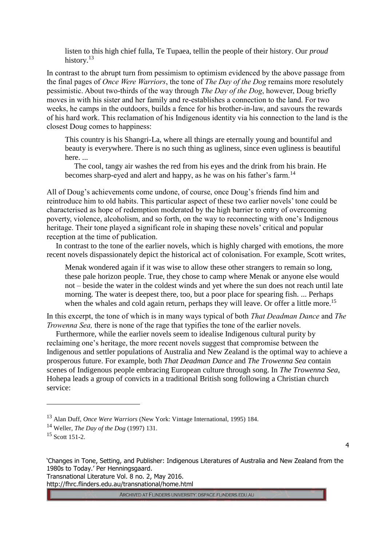listen to this high chief fulla, Te Tupaea, tellin the people of their history. Our *proud* history.<sup>13</sup>

In contrast to the abrupt turn from pessimism to optimism evidenced by the above passage from the final pages of *Once Were Warriors*, the tone of *The Day of the Dog* remains more resolutely pessimistic. About two-thirds of the way through *The Day of the Dog*, however, Doug briefly moves in with his sister and her family and re-establishes a connection to the land. For two weeks, he camps in the outdoors, builds a fence for his brother-in-law, and savours the rewards of his hard work. This reclamation of his Indigenous identity via his connection to the land is the closest Doug comes to happiness:

This country is his Shangri-La, where all things are eternally young and bountiful and beauty is everywhere. There is no such thing as ugliness, since even ugliness is beautiful here. ...

The cool, tangy air washes the red from his eyes and the drink from his brain. He becomes sharp-eyed and alert and happy, as he was on his father's farm.<sup>14</sup>

All of Doug's achievements come undone, of course, once Doug's friends find him and reintroduce him to old habits. This particular aspect of these two earlier novels' tone could be characterised as hope of redemption moderated by the high barrier to entry of overcoming poverty, violence, alcoholism, and so forth, on the way to reconnecting with one's Indigenous heritage. Their tone played a significant role in shaping these novels' critical and popular reception at the time of publication.

In contrast to the tone of the earlier novels, which is highly charged with emotions, the more recent novels dispassionately depict the historical act of colonisation. For example, Scott writes,

Menak wondered again if it was wise to allow these other strangers to remain so long, these pale horizon people. True, they chose to camp where Menak or anyone else would not – beside the water in the coldest winds and yet where the sun does not reach until late morning. The water is deepest there, too, but a poor place for spearing fish. ... Perhaps when the whales and cold again return, perhaps they will leave. Or offer a little more.<sup>15</sup>

In this excerpt, the tone of which is in many ways typical of both *That Deadman Dance* and *The Trowenna Sea,* there is none of the rage that typifies the tone of the earlier novels.

Furthermore, while the earlier novels seem to idealise Indigenous cultural purity by reclaiming one's heritage, the more recent novels suggest that compromise between the Indigenous and settler populations of Australia and New Zealand is the optimal way to achieve a prosperous future. For example, both *That Deadman Dance* and *The Trowenna Sea* contain scenes of Indigenous people embracing European culture through song. In *The Trowenna Sea*, Hohepa leads a group of convicts in a traditional British song following a Christian church service:

<u>.</u>

4

http://fhrc.flinders.edu.au/transnational/home.html

<sup>13</sup> Alan Duff, *Once Were Warriors* (New York: Vintage International, 1995) 184.

<sup>14</sup> Weller, *The Day of the Dog* (1997) 131.

<sup>15</sup> Scott 151-2.

<sup>&#</sup>x27;Changes in Tone, Setting, and Publisher: Indigenous Literatures of Australia and New Zealand from the 1980s to Today.' Per Henningsgaard. Transnational Literature Vol. 8 no. 2, May 2016.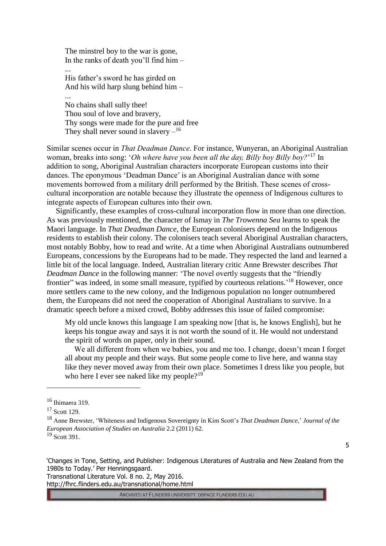The minstrel boy to the war is gone, In the ranks of death you'll find him – ... His father's sword he has girded on And his wild harp slung behind him – ... No chains shall sully thee! Thou soul of love and bravery, Thy songs were made for the pure and free They shall never sound in slavery  $-$ <sup>16</sup>

Similar scenes occur in *That Deadman Dance*. For instance, Wunyeran, an Aboriginal Australian woman, breaks into song: '*Oh where have you been all the day, Billy boy Billy boy?*' <sup>17</sup> In addition to song, Aboriginal Australian characters incorporate European customs into their dances. The eponymous 'Deadman Dance' is an Aboriginal Australian dance with some movements borrowed from a military drill performed by the British. These scenes of crosscultural incorporation are notable because they illustrate the openness of Indigenous cultures to integrate aspects of European cultures into their own.

Significantly, these examples of cross-cultural incorporation flow in more than one direction. As was previously mentioned, the character of Ismay in *The Trowenna Sea* learns to speak the Maori language. In *That Deadman Dance*, the European colonisers depend on the Indigenous residents to establish their colony. The colonisers teach several Aboriginal Australian characters, most notably Bobby, how to read and write. At a time when Aboriginal Australians outnumbered Europeans, concessions by the Europeans had to be made. They respected the land and learned a little bit of the local language. Indeed, Australian literary critic Anne Brewster describes *That Deadman Dance* in the following manner: 'The novel overtly suggests that the "friendly" frontier" was indeed, in some small measure, typified by courteous relations.<sup>'18</sup> However, once more settlers came to the new colony, and the Indigenous population no longer outnumbered them, the Europeans did not need the cooperation of Aboriginal Australians to survive. In a dramatic speech before a mixed crowd, Bobby addresses this issue of failed compromise:

My old uncle knows this language I am speaking now [that is, he knows English], but he keeps his tongue away and says it is not worth the sound of it. He would not understand the spirit of words on paper, only in their sound.

We all different from when we babies, you and me too. I change, doesn't mean I forget all about my people and their ways. But some people come to live here, and wanna stay like they never moved away from their own place. Sometimes I dress like you people, but who here I ever see naked like my people?<sup>19</sup>

<u>.</u>

'Changes in Tone, Setting, and Publisher: Indigenous Literatures of Australia and New Zealand from the 1980s to Today.' Per Henningsgaard.

Transnational Literature Vol. 8 no. 2, May 2016. http://fhrc.flinders.edu.au/transnational/home.html

<sup>16</sup> Ihimaera 319.

<sup>17</sup> Scott 129.

<sup>18</sup> Anne Brewster, 'Whiteness and Indigenous Sovereignty in Kim Scott's *That Deadman Dance*,' *Journal of the European Association of Studies on Australia* 2.2 (2011) 62.

<sup>&</sup>lt;sup>19</sup> Scott 391.

<sup>5</sup>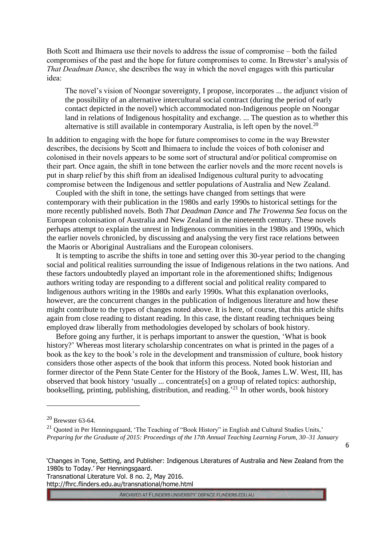Both Scott and Ihimaera use their novels to address the issue of compromise – both the failed compromises of the past and the hope for future compromises to come. In Brewster's analysis of *That Deadman Dance*, she describes the way in which the novel engages with this particular idea:

The novel's vision of Noongar sovereignty, I propose, incorporates ... the adjunct vision of the possibility of an alternative intercultural social contract (during the period of early contact depicted in the novel) which accommodated non-Indigenous people on Noongar land in relations of Indigenous hospitality and exchange. ... The question as to whether this alternative is still available in contemporary Australia, is left open by the novel.<sup>20</sup>

In addition to engaging with the hope for future compromises to come in the way Brewster describes, the decisions by Scott and Ihimaera to include the voices of both coloniser and colonised in their novels appears to be some sort of structural and/or political compromise on their part. Once again, the shift in tone between the earlier novels and the more recent novels is put in sharp relief by this shift from an idealised Indigenous cultural purity to advocating compromise between the Indigenous and settler populations of Australia and New Zealand.

Coupled with the shift in tone, the settings have changed from settings that were contemporary with their publication in the 1980s and early 1990s to historical settings for the more recently published novels. Both *That Deadman Dance* and *The Trowenna Sea* focus on the European colonisation of Australia and New Zealand in the nineteenth century. These novels perhaps attempt to explain the unrest in Indigenous communities in the 1980s and 1990s, which the earlier novels chronicled, by discussing and analysing the very first race relations between the Maoris or Aboriginal Australians and the European colonisers.

It is tempting to ascribe the shifts in tone and setting over this 30-year period to the changing social and political realities surrounding the issue of Indigenous relations in the two nations. And these factors undoubtedly played an important role in the aforementioned shifts; Indigenous authors writing today are responding to a different social and political reality compared to Indigenous authors writing in the 1980s and early 1990s. What this explanation overlooks, however, are the concurrent changes in the publication of Indigenous literature and how these might contribute to the types of changes noted above. It is here, of course, that this article shifts again from close reading to distant reading. In this case, the distant reading techniques being employed draw liberally from methodologies developed by scholars of book history.

Before going any further, it is perhaps important to answer the question, 'What is book history?' Whereas most literary scholarship concentrates on what is printed in the pages of a book as the key to the book's role in the development and transmission of culture, book history considers those other aspects of the book that inform this process. Noted book historian and former director of the Penn State Center for the History of the Book, James L.W. West, III, has observed that book history 'usually ... concentrate[s] on a group of related topics: authorship, bookselling, printing, publishing, distribution, and reading.<sup>21</sup> In other words, book history

<u>.</u>

6

Transnational Literature Vol. 8 no. 2, May 2016. http://fhrc.flinders.edu.au/transnational/home.html

<sup>20</sup> Brewster 63-64.

<sup>&</sup>lt;sup>21</sup> Ouoted in Per Henningsgaard, 'The Teaching of "Book History" in English and Cultural Studies Units,' *Preparing for the Graduate of 2015: Proceedings of the 17th Annual Teaching Learning Forum, 30–31 January* 

<sup>&#</sup>x27;Changes in Tone, Setting, and Publisher: Indigenous Literatures of Australia and New Zealand from the 1980s to Today.' Per Henningsgaard.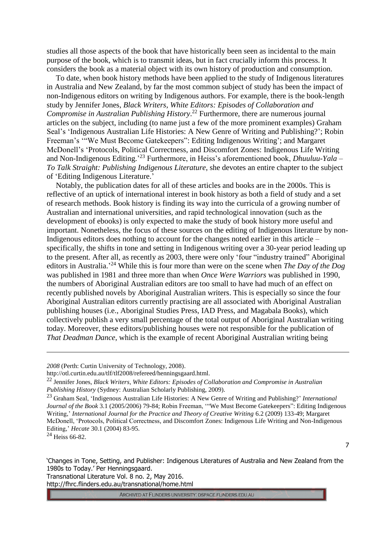studies all those aspects of the book that have historically been seen as incidental to the main purpose of the book, which is to transmit ideas, but in fact crucially inform this process. It considers the book as a material object with its own history of production and consumption.

To date, when book history methods have been applied to the study of Indigenous literatures in Australia and New Zealand, by far the most common subject of study has been the impact of non-Indigenous editors on writing by Indigenous authors. For example, there is the book-length study by Jennifer Jones, *Black Writers, White Editors: Episodes of Collaboration and Compromise in Australian Publishing History*. <sup>22</sup> Furthermore, there are numerous journal articles on the subject, including (to name just a few of the more prominent examples) Graham Seal's 'Indigenous Australian Life Histories: A New Genre of Writing and Publishing?'; Robin Freeman's '"We Must Become Gatekeepers": Editing Indigenous Writing'; and Margaret McDonell's 'Protocols, Political Correctness, and Discomfort Zones: Indigenous Life Writing and Non-Indigenous Editing.' <sup>23</sup> Furthermore, in Heiss's aforementioned book, *Dhuuluu-Yala – To Talk Straight: Publishing Indigenous Literature*, she devotes an entire chapter to the subject of 'Editing Indigenous Literature.'

Notably, the publication dates for all of these articles and books are in the 2000s. This is reflective of an uptick of international interest in book history as both a field of study and a set of research methods. Book history is finding its way into the curricula of a growing number of Australian and international universities, and rapid technological innovation (such as the development of ebooks) is only expected to make the study of book history more useful and important. Nonetheless, the focus of these sources on the editing of Indigenous literature by non-Indigenous editors does nothing to account for the changes noted earlier in this article – specifically, the shifts in tone and setting in Indigenous writing over a 30-year period leading up to the present. After all, as recently as 2003, there were only 'four "industry trained" Aboriginal editors in Australia.' <sup>24</sup> While this is four more than were on the scene when *The Day of the Dog* was published in 1981 and three more than when *Once Were Warriors* was published in 1990, the numbers of Aboriginal Australian editors are too small to have had much of an effect on recently published novels by Aboriginal Australian writers. This is especially so since the four Aboriginal Australian editors currently practising are all associated with Aboriginal Australian publishing houses (i.e., Aboriginal Studies Press, IAD Press, and Magabala Books), which collectively publish a very small percentage of the total output of Aboriginal Australian writing today. Moreover, these editors/publishing houses were not responsible for the publication of *That Deadman Dance*, which is the example of recent Aboriginal Australian writing being

 $24$  Heiss 66-82.

<u>.</u>

'Changes in Tone, Setting, and Publisher: Indigenous Literatures of Australia and New Zealand from the 1980s to Today.' Per Henningsgaard.

Transnational Literature Vol. 8 no. 2, May 2016. http://fhrc.flinders.edu.au/transnational/home.html

*<sup>2008</sup>* (Perth: Curtin University of Technology, 2008).

http://otl.curtin.edu.au/tlf/tlf2008/refereed/henningsgaard.html.

<sup>22</sup> Jennifer Jones, *Black Writers, White Editors: Episodes of Collaboration and Compromise in Australian Publishing History* (Sydney: Australian Scholarly Publishing, 2009).

<sup>23</sup> Graham Seal, 'Indigenous Australian Life Histories: A New Genre of Writing and Publishing?' *International Journal of the Book* 3.1 (2005/2006) 79-84; Robin Freeman, '"We Must Become Gatekeepers": Editing Indigenous Writing,' *International Journal for the Practice and Theory of Creative Writing* 6.2 (2009) 133-49; Margaret McDonell, 'Protocols, Political Correctness, and Discomfort Zones: Indigenous Life Writing and Non-Indigenous Editing,' *Hecate* 30.1 (2004) 83-95.

<sup>7</sup>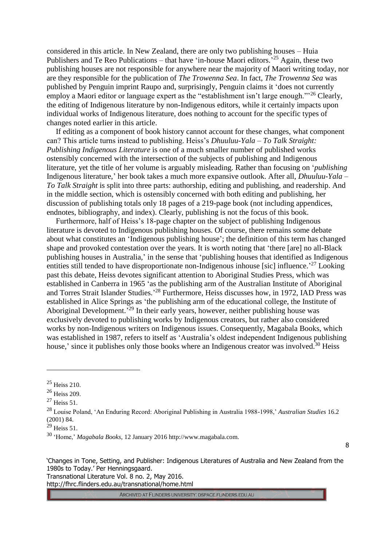considered in this article. In New Zealand, there are only two publishing houses – Huia Publishers and Te Reo Publications – that have 'in-house Maori editors.<sup>25</sup> Again, these two publishing houses are not responsible for anywhere near the majority of Maori writing today, nor are they responsible for the publication of *The Trowenna Sea*. In fact, *The Trowenna Sea* was published by Penguin imprint Raupo and, surprisingly, Penguin claims it 'does not currently employ a Maori editor or language expert as the "establishment isn't large enough."<sup>26</sup> Clearly, the editing of Indigenous literature by non-Indigenous editors, while it certainly impacts upon individual works of Indigenous literature, does nothing to account for the specific types of changes noted earlier in this article.

If editing as a component of book history cannot account for these changes, what component can? This article turns instead to publishing. Heiss's *Dhuuluu-Yala – To Talk Straight: Publishing Indigenous Literature* is one of a much smaller number of published works ostensibly concerned with the intersection of the subjects of publishing and Indigenous literature, yet the title of her volume is arguably misleading. Rather than focusing on '*publishing* Indigenous literature,' her book takes a much more expansive outlook. After all, *Dhuuluu-Yala – To Talk Straight* is split into three parts: authorship, editing and publishing, and readership. And in the middle section, which is ostensibly concerned with both editing and publishing, her discussion of publishing totals only 18 pages of a 219-page book (not including appendices, endnotes, bibliography, and index). Clearly, publishing is not the focus of this book.

Furthermore, half of Heiss's 18-page chapter on the subject of publishing Indigenous literature is devoted to Indigenous publishing houses. Of course, there remains some debate about what constitutes an 'Indigenous publishing house'; the definition of this term has changed shape and provoked contestation over the years. It is worth noting that 'there [are] no all-Black publishing houses in Australia,' in the sense that 'publishing houses that identified as Indigenous entities still tended to have disproportionate non-Indigenous inhouse [sic] influence.<sup>27</sup> Looking past this debate, Heiss devotes significant attention to Aboriginal Studies Press, which was established in Canberra in 1965 'as the publishing arm of the Australian Institute of Aboriginal and Torres Strait Islander Studies.<sup>28</sup> Furthermore, Heiss discusses how, in 1972, IAD Press was established in Alice Springs as 'the publishing arm of the educational college, the Institute of Aboriginal Development.<sup>29</sup> In their early years, however, neither publishing house was exclusively devoted to publishing works by Indigenous creators, but rather also considered works by non-Indigenous writers on Indigenous issues. Consequently, Magabala Books, which was established in 1987, refers to itself as 'Australia's oldest independent Indigenous publishing house,' since it publishes only those books where an Indigenous creator was involved.<sup>30</sup> Heiss

<u>.</u>

8

'Changes in Tone, Setting, and Publisher: Indigenous Literatures of Australia and New Zealand from the 1980s to Today.' Per Henningsgaard.

Transnational Literature Vol. 8 no. 2, May 2016. http://fhrc.flinders.edu.au/transnational/home.html

<sup>25</sup> Heiss 210.

<sup>26</sup> Heiss 209.

 $27$  Heiss 51.

<sup>28</sup> Louise Poland, 'An Enduring Record: Aboriginal Publishing in Australia 1988-1998,' *Australian Studies* 16.2 (2001) 84.

 $29$  Heiss 51.

<sup>30</sup> 'Home,' *Magabala Books*, 12 January 2016 http://www.magabala.com.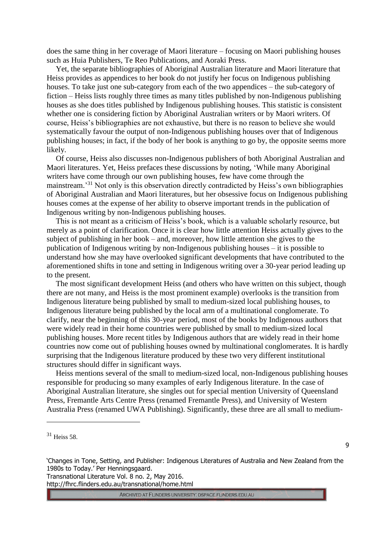does the same thing in her coverage of Maori literature – focusing on Maori publishing houses such as Huia Publishers, Te Reo Publications, and Aoraki Press.

Yet, the separate bibliographies of Aboriginal Australian literature and Maori literature that Heiss provides as appendices to her book do not justify her focus on Indigenous publishing houses. To take just one sub-category from each of the two appendices – the sub-category of fiction – Heiss lists roughly three times as many titles published by non-Indigenous publishing houses as she does titles published by Indigenous publishing houses. This statistic is consistent whether one is considering fiction by Aboriginal Australian writers or by Maori writers. Of course, Heiss's bibliographies are not exhaustive, but there is no reason to believe she would systematically favour the output of non-Indigenous publishing houses over that of Indigenous publishing houses; in fact, if the body of her book is anything to go by, the opposite seems more likely.

Of course, Heiss also discusses non-Indigenous publishers of both Aboriginal Australian and Maori literatures. Yet, Heiss prefaces these discussions by noting, 'While many Aboriginal writers have come through our own publishing houses, few have come through the mainstream.<sup>31</sup> Not only is this observation directly contradicted by Heiss's own bibliographies of Aboriginal Australian and Maori literatures, but her obsessive focus on Indigenous publishing houses comes at the expense of her ability to observe important trends in the publication of Indigenous writing by non-Indigenous publishing houses.

This is not meant as a criticism of Heiss's book, which is a valuable scholarly resource, but merely as a point of clarification. Once it is clear how little attention Heiss actually gives to the subject of publishing in her book – and, moreover, how little attention she gives to the publication of Indigenous writing by non-Indigenous publishing houses – it is possible to understand how she may have overlooked significant developments that have contributed to the aforementioned shifts in tone and setting in Indigenous writing over a 30-year period leading up to the present.

The most significant development Heiss (and others who have written on this subject, though there are not many, and Heiss is the most prominent example) overlooks is the transition from Indigenous literature being published by small to medium-sized local publishing houses, to Indigenous literature being published by the local arm of a multinational conglomerate. To clarify, near the beginning of this 30-year period, most of the books by Indigenous authors that were widely read in their home countries were published by small to medium-sized local publishing houses. More recent titles by Indigenous authors that are widely read in their home countries now come out of publishing houses owned by multinational conglomerates. It is hardly surprising that the Indigenous literature produced by these two very different institutional structures should differ in significant ways.

Heiss mentions several of the small to medium-sized local, non-Indigenous publishing houses responsible for producing so many examples of early Indigenous literature. In the case of Aboriginal Australian literature, she singles out for special mention University of Queensland Press, Fremantle Arts Centre Press (renamed Fremantle Press), and University of Western Australia Press (renamed UWA Publishing). Significantly, these three are all small to medium-

<u>.</u>

9

'Changes in Tone, Setting, and Publisher: Indigenous Literatures of Australia and New Zealand from the 1980s to Today.' Per Henningsgaard.

Transnational Literature Vol. 8 no. 2, May 2016. http://fhrc.flinders.edu.au/transnational/home.html

<sup>31</sup> Heiss 58.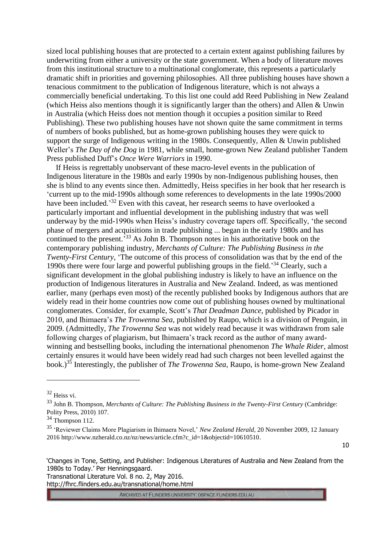sized local publishing houses that are protected to a certain extent against publishing failures by underwriting from either a university or the state government. When a body of literature moves from this institutional structure to a multinational conglomerate, this represents a particularly dramatic shift in priorities and governing philosophies. All three publishing houses have shown a tenacious commitment to the publication of Indigenous literature, which is not always a commercially beneficial undertaking. To this list one could add Reed Publishing in New Zealand (which Heiss also mentions though it is significantly larger than the others) and Allen & Unwin in Australia (which Heiss does not mention though it occupies a position similar to Reed Publishing). These two publishing houses have not shown quite the same commitment in terms of numbers of books published, but as home-grown publishing houses they were quick to support the surge of Indigenous writing in the 1980s. Consequently, Allen & Unwin published Weller's *The Day of the Dog* in 1981, while small, home-grown New Zealand publisher Tandem Press published Duff's *Once Were Warriors* in 1990.

If Heiss is regrettably unobservant of these macro-level events in the publication of Indigenous literature in the 1980s and early 1990s by non-Indigenous publishing houses, then she is blind to any events since then. Admittedly, Heiss specifies in her book that her research is 'current up to the mid-1990s although some references to developments in the late 1990s/2000 have been included.<sup>32</sup> Even with this caveat, her research seems to have overlooked a particularly important and influential development in the publishing industry that was well underway by the mid-1990s when Heiss's industry coverage tapers off. Specifically, 'the second phase of mergers and acquisitions in trade publishing ... began in the early 1980s and has continued to the present.<sup>33</sup> As John B. Thompson notes in his authoritative book on the contemporary publishing industry, *Merchants of Culture: The Publishing Business in the Twenty-First Century*, 'The outcome of this process of consolidation was that by the end of the 1990s there were four large and powerful publishing groups in the field.' <sup>34</sup> Clearly, such a significant development in the global publishing industry is likely to have an influence on the production of Indigenous literatures in Australia and New Zealand. Indeed, as was mentioned earlier, many (perhaps even most) of the recently published books by Indigenous authors that are widely read in their home countries now come out of publishing houses owned by multinational conglomerates. Consider, for example, Scott's *That Deadman Dance*, published by Picador in 2010, and Ihimaera's *The Trowenna Sea*, published by Raupo, which is a division of Penguin, in 2009. (Admittedly, *The Trowenna Sea* was not widely read because it was withdrawn from sale following charges of plagiarism, but Ihimaera's track record as the author of many awardwinning and bestselling books, including the international phenomenon *The Whale Rider*, almost certainly ensures it would have been widely read had such charges not been levelled against the book.)<sup>35</sup> Interestingly, the publisher of *The Trowenna Sea*, Raupo, is home-grown New Zealand

<u>.</u>

10

Transnational Literature Vol. 8 no. 2, May 2016. http://fhrc.flinders.edu.au/transnational/home.html

<sup>32</sup> Heiss vi.

<sup>33</sup> John B. Thompson, *Merchants of Culture: The Publishing Business in the Twenty-First Century* (Cambridge: Polity Press, 2010) 107.

 $34$  Thompson 112.

<sup>35</sup> 'Reviewer Claims More Plagiarism in Ihimaera Novel,' *New Zealand Herald*, 20 November 2009, 12 January 2016 http://www.nzherald.co.nz/nz/news/article.cfm?c\_id=1&objectid=10610510.

<sup>&#</sup>x27;Changes in Tone, Setting, and Publisher: Indigenous Literatures of Australia and New Zealand from the 1980s to Today.' Per Henningsgaard.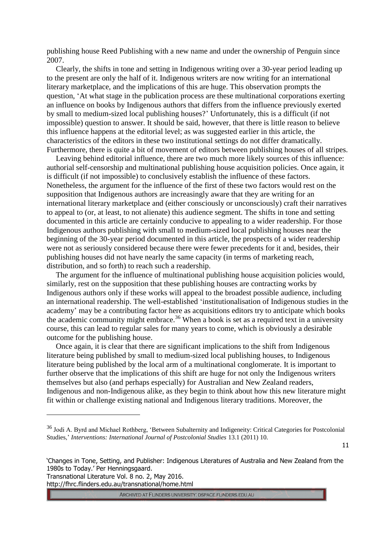publishing house Reed Publishing with a new name and under the ownership of Penguin since 2007.

Clearly, the shifts in tone and setting in Indigenous writing over a 30-year period leading up to the present are only the half of it. Indigenous writers are now writing for an international literary marketplace, and the implications of this are huge. This observation prompts the question, 'At what stage in the publication process are these multinational corporations exerting an influence on books by Indigenous authors that differs from the influence previously exerted by small to medium-sized local publishing houses?' Unfortunately, this is a difficult (if not impossible) question to answer. It should be said, however, that there is little reason to believe this influence happens at the editorial level; as was suggested earlier in this article, the characteristics of the editors in these two institutional settings do not differ dramatically. Furthermore, there is quite a bit of movement of editors between publishing houses of all stripes.

Leaving behind editorial influence, there are two much more likely sources of this influence: authorial self-censorship and multinational publishing house acquisition policies. Once again, it is difficult (if not impossible) to conclusively establish the influence of these factors. Nonetheless, the argument for the influence of the first of these two factors would rest on the supposition that Indigenous authors are increasingly aware that they are writing for an international literary marketplace and (either consciously or unconsciously) craft their narratives to appeal to (or, at least, to not alienate) this audience segment. The shifts in tone and setting documented in this article are certainly conducive to appealing to a wider readership. For those Indigenous authors publishing with small to medium-sized local publishing houses near the beginning of the 30-year period documented in this article, the prospects of a wider readership were not as seriously considered because there were fewer precedents for it and, besides, their publishing houses did not have nearly the same capacity (in terms of marketing reach, distribution, and so forth) to reach such a readership.

The argument for the influence of multinational publishing house acquisition policies would, similarly, rest on the supposition that these publishing houses are contracting works by Indigenous authors only if these works will appeal to the broadest possible audience, including an international readership. The well-established 'institutionalisation of Indigenous studies in the academy' may be a contributing factor here as acquisitions editors try to anticipate which books the academic community might embrace.<sup>36</sup> When a book is set as a required text in a university course, this can lead to regular sales for many years to come, which is obviously a desirable outcome for the publishing house.

Once again, it is clear that there are significant implications to the shift from Indigenous literature being published by small to medium-sized local publishing houses, to Indigenous literature being published by the local arm of a multinational conglomerate. It is important to further observe that the implications of this shift are huge for not only the Indigenous writers themselves but also (and perhaps especially) for Australian and New Zealand readers, Indigenous and non-Indigenous alike, as they begin to think about how this new literature might fit within or challenge existing national and Indigenous literary traditions. Moreover, the

11

Transnational Literature Vol. 8 no. 2, May 2016. http://fhrc.flinders.edu.au/transnational/home.html

<u>.</u>

<sup>&</sup>lt;sup>36</sup> Jodi A. Byrd and Michael Rothberg, 'Between Subalternity and Indigeneity: Critical Categories for Postcolonial Studies,' *Interventions: International Journal of Postcolonial Studies* 13.1 (2011) 10.

<sup>&#</sup>x27;Changes in Tone, Setting, and Publisher: Indigenous Literatures of Australia and New Zealand from the 1980s to Today.' Per Henningsgaard.